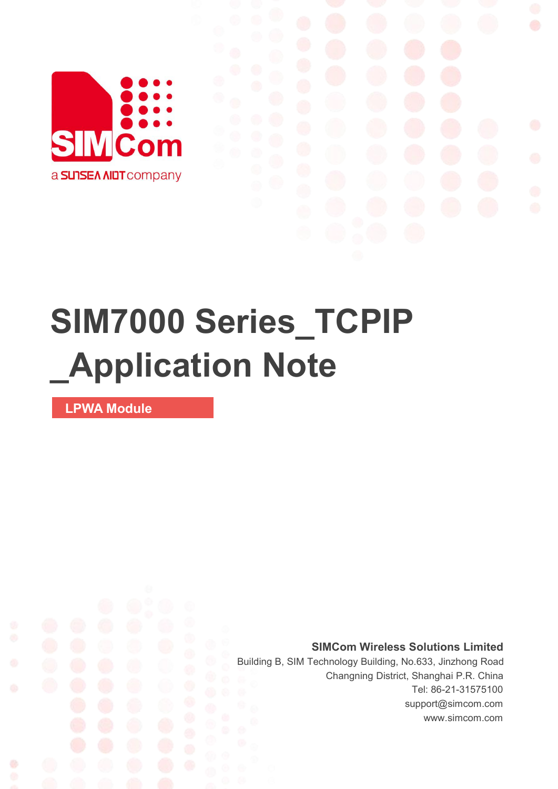

# **SIM7000 Series\_TCPIP \_Application Note**

**LPWA Module**

Ø

**SIMCom Wireless Solutions Limited**

Building B, SIM Technology Building, No.633, Jinzhong Road Changning District, Shanghai P.R. China Tel: 86-21-31575100 support@simcom.com www.simcom.com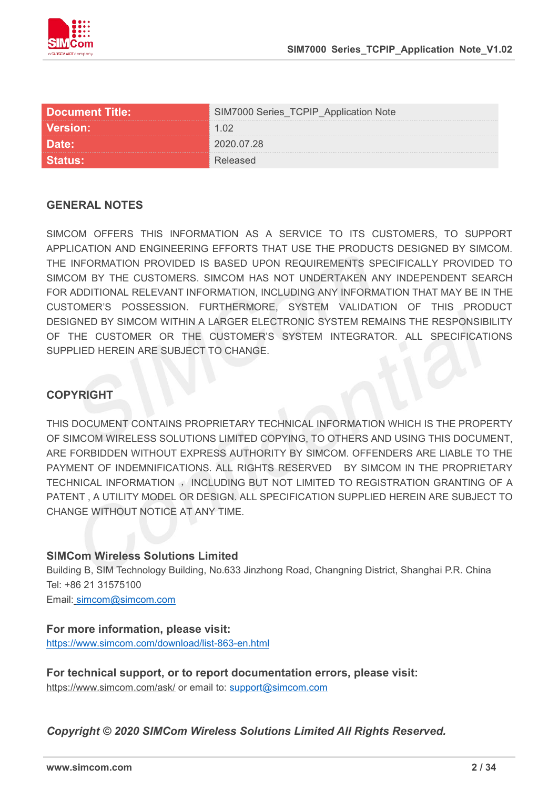

| <b>Document Title:</b> | Series_TCPIP_Application Note |
|------------------------|-------------------------------|
| <b>Version:</b>        | 1 በ2                          |
|                        |                               |
|                        |                               |

#### **GENERAL NOTES**

SIMCOM OFFERS THIS INFORMATION AS A SERVICE TO ITS CUSTOMERS, TO SUPPORT APPLICATION AND ENGINEERING EFFORTS THAT USE THE PRODUCTS DESIGNED BY SIMCOM. THE INFORMATION PROVIDED IS BASED UPON REQUIREMENTS SPECIFICALLY PROVIDED TO SIMCOM BY THE CUSTOMERS. SIMCOM HAS NOT UNDERTAKEN ANY INDEPENDENT SEARCH FOR ADDITIONAL RELEVANT INFORMATION, INCLUDING ANY INFORMATION THAT MAY BE IN THE CUSTOMER'S POSSESSION. FURTHERMORE, SYSTEM VALIDATION OF THIS PRODUCT DESIGNED BY SIMCOM WITHIN A LARGER ELECTRONIC SYSTEM REMAINS THE RESPONSIBILITY OF THE CUSTOMER OR THE CUSTOMER'S SYSTEM INTEGRATOR. ALL SPECIFICATIONS SUPPLIED HEREIN ARE SUBJECT TO CHANGE.

### **COPYRIGHT**

THIS DOCUMENT CONTAINS PROPRIETARY TECHNICAL INFORMATION WHICH IS THE PROPERTY OF SIMCOM WIRELESS SOLUTIONS LIMITED COPYING, TO OTHERS AND USING THIS DOCUMENT, ARE FORBIDDEN WITHOUT EXPRESS AUTHORITY BY SIMCOM. OFFENDERS ARE LIABLE TO THE PAYMENT OF INDEMNIFICATIONS. ALL RIGHTS RESERVED BY SIMCOM IN THE PROPRIETARY TECHNICAL INFORMATION , INCLUDING BUT NOT LIMITED TO REGISTRATION GRANTING OF A PATENT , A UTILITY MODEL OR DESIGN. ALL SPECIFICATION SUPPLIED HEREIN ARE SUBJECT TO CHANGE WITHOUT NOTICE AT ANY TIME.

#### **SIMCom Wireless Solutions Limited**

Building B, SIM Technology Building, No.633 Jinzhong Road, Changning District, Shanghai P.R. China Tel: +86 21 31575100 Email: [simcom@simcom.com](mailto:simcom@simcom.com)

### **For more information, please visit:**

<https://www.simcom.com/download/list-863-en.html>

**For technical support, or to report documentation errors, please visit:** https://www.simcom.com/ask/ or email to: [support@simcom.com](mailto:support@simcom.com)

*Copyright © 2020 SIMCom Wireless Solutions Limited All Rights Reserved.*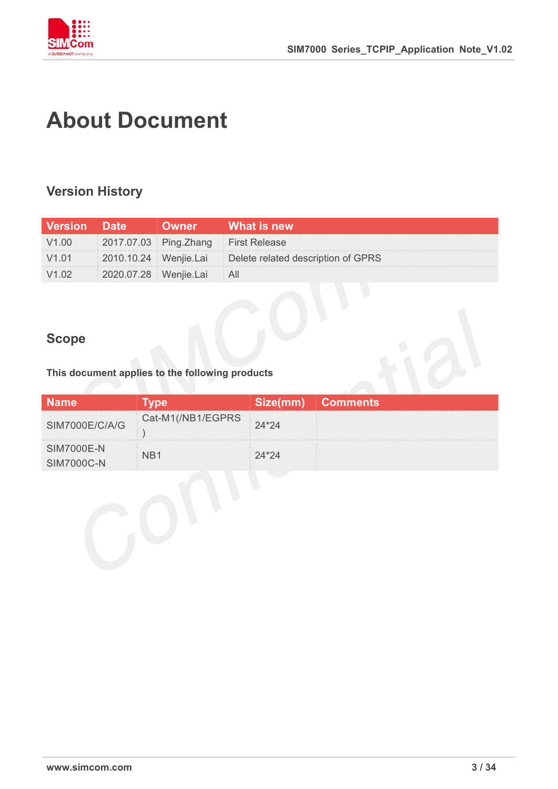

## <span id="page-2-0"></span>**About Document**

### <span id="page-2-1"></span>**Version History**

| Version | <b>AMILE</b>          | What is new                                              |
|---------|-----------------------|----------------------------------------------------------|
|         |                       | 2017.07.03 Ping.Zhang First Release                      |
|         |                       | 2010.10.24 Wenjie.Lai Delete related description of GPRS |
|         | 2020.07.28 Wenjie.Lai |                                                          |

### <span id="page-2-2"></span>**Scope**

**This document applies to the following products**

| <b>Name</b>                     | <b>roe</b>        | Size(mm) | <b>Comments</b> |
|---------------------------------|-------------------|----------|-----------------|
| SIM7000E/C/A/G                  | Cat-M1(/NB1/EGPRS | $24*24$  |                 |
| <b>SIM7000E-N</b><br>SIM7000C-N |                   | 2*24′    |                 |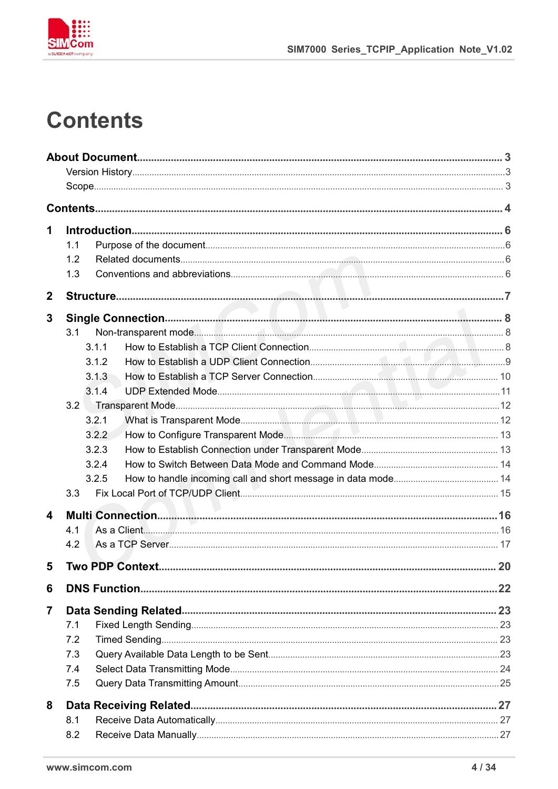

### <span id="page-3-0"></span>**Contents**

| 1                       |                  |             |
|-------------------------|------------------|-------------|
|                         | 1.1              |             |
|                         | 1.2              |             |
|                         | 1.3              |             |
| $\mathbf{2}$            |                  |             |
| 3                       |                  |             |
|                         | 3.1              |             |
|                         | 3.1.1            |             |
|                         | 3.1.2            |             |
|                         | 3.1.3            |             |
|                         | 3.1.4            |             |
|                         | 3.2              |             |
|                         | 3.2.1            |             |
|                         | 3.2.2            |             |
|                         | 3.2.3            |             |
|                         | 3.2.4            |             |
|                         | 3.2.5<br>3.3     |             |
|                         |                  |             |
| $\overline{\mathbf{4}}$ |                  |             |
|                         | 4.1              |             |
|                         | 4.2              |             |
| 5.                      | Two PDP Context. | $\ldots 20$ |
| 6                       |                  |             |
| 7                       |                  |             |
|                         | 7.1              |             |
|                         | 7.2              |             |
|                         | 7.3              |             |
|                         | 7.4              |             |
|                         | 7.5              |             |
| 8                       |                  |             |
|                         | 8.1              |             |
|                         | 8.2              |             |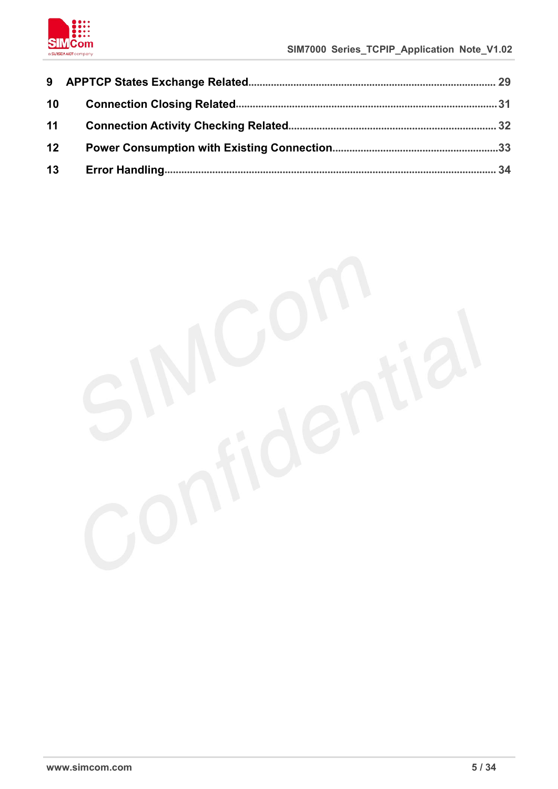

| 10               |    |  |
|------------------|----|--|
| 11               |    |  |
| 12 <sup>12</sup> |    |  |
|                  | 13 |  |

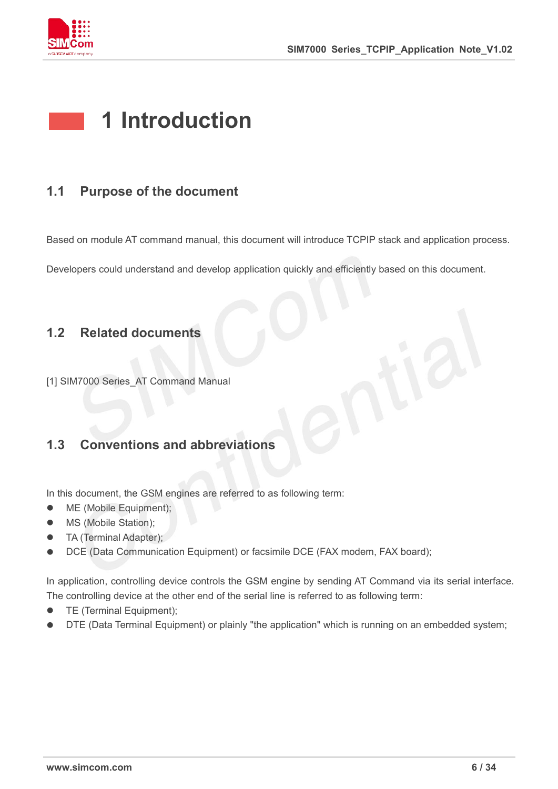

### <span id="page-5-0"></span>**1 Introduction**

### <span id="page-5-1"></span>**1.1 Purpose of the document**

Based on module AT command manual, this document will introduce TCPIP stack and application process.

Developers could understand and develop application quickly and efficiently based on this document.

### <span id="page-5-2"></span>**1.2 Related documents**

[1] SIM7000 Series AT Command Manual

### <span id="page-5-3"></span>**1.3 Conventions and abbreviations**

In this document, the GSM engines are referred to as following term:

- ME (Mobile Equipment);
- MS (Mobile Station);
- TA (Terminal Adapter);
- DCE (Data Communication Equipment) or facsimile DCE (FAX modem, FAX board);

In application, controlling device controls the GSM engine by sending AT Command via its serial interface. The controlling device at the other end of the serial line is referred to as following term:

- **•** TE (Terminal Equipment);
- DTE (Data Terminal Equipment) or plainly "the application" which is running on an embedded system;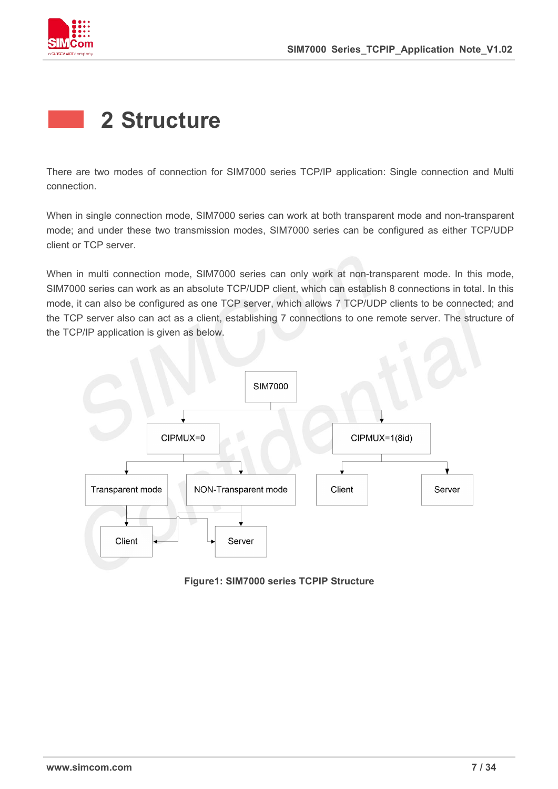

### <span id="page-6-0"></span>**2 Structure**

There are two modes of connection for SIM7000 series TCP/IP application: Single connection and Multi connection.

When in single connection mode, SIM7000 series can work at both transparent mode and non-transparent mode; and under these two transmission modes, SIM7000 series can be configured as either TCP/UDP client or TCP server.

When in multi connection mode, SIM7000 series can only work at non-transparent mode. In this mode, SIM7000 series can work as an absolute TCP/UDP client, which can establish 8 connections in total. In this mode, it can also be configured as one TCP server, which allows 7 TCP/UDP clients to be connected; and the TCP server also can act as a client, establishing 7 connections to one remote server. The structure of the TCP/IP application is given as below.



**Figure1: SIM7000 series TCPIP Structure**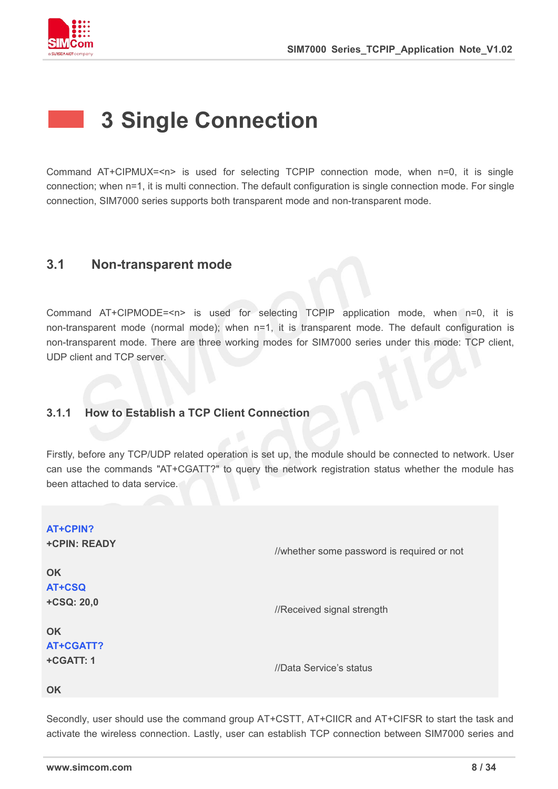

### <span id="page-7-0"></span>**3 Single Connection**

Command AT+CIPMUX=<n> is used for selecting TCPIP connection mode, when n=0, it is single connection; when n=1, it is multi connection. The default configuration is single connection mode. For single connection, SIM7000 series supports both transparent mode and non-transparent mode.

### <span id="page-7-1"></span>**3.1 Non-transparent mode**

Command AT+CIPMODE=<n> isused for selecting TCPIP application mode, when n=0, it is non-transparent mode (normal mode); when n=1, it is transparent mode. The default configuration is non-transparent mode. There are three working modes for SIM7000 series under this mode: TCP client, UDP client and TCP server.

### <span id="page-7-2"></span>**3.1.1 How to Establish a TCP Client Connection**

Firstly, before any TCP/UDP related operation is set up, the module should be connected to network. User can use the commands "AT+CGATT?" to query the network registration status whether the module has been attached to data service.

| <b>AT+CPIN?</b><br><b>+CPIN: READY</b> | //whether some password is required or not |
|----------------------------------------|--------------------------------------------|
| <b>OK</b>                              |                                            |
| AT+CSQ                                 |                                            |
| +CSQ: 20,0                             | //Received signal strength                 |
| <b>OK</b>                              |                                            |
| AT+CGATT?                              |                                            |
| +CGATT: 1                              | //Data Service's status                    |
| <b>OK</b>                              |                                            |
|                                        |                                            |

Secondly, user should use the command group AT+CSTT, AT+CIICR and AT+CIFSR to start the task and activate the wireless connection. Lastly, user can establish TCP connection between SIM7000 series and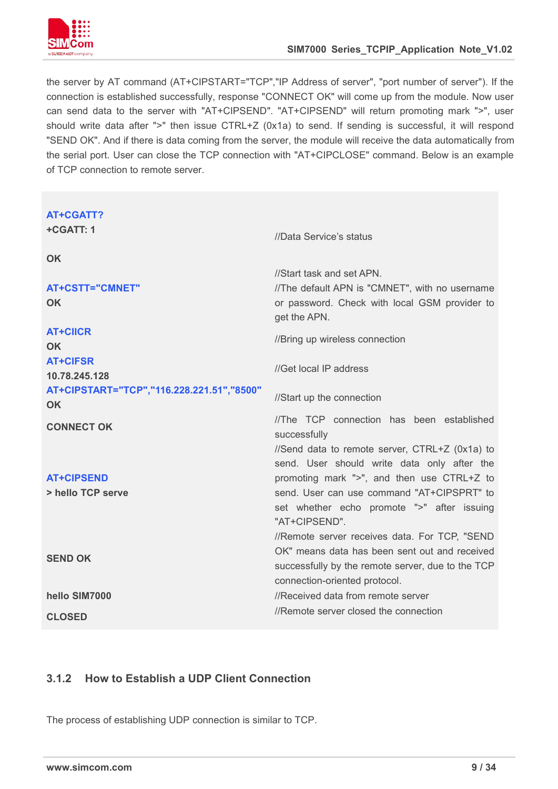

the server by AT command (AT+CIPSTART="TCP","IP Address of server", "port number of server"). If the connection is established successfully, response "CONNECT OK" will come up from the module. Now user can send data to the server with "AT+CIPSEND". "AT+CIPSEND" will return promoting mark ">", user should write data after ">" then issue CTRL+Z (0x1a) to send. If sending is successful, it will respond "SEND OK". And if there is data coming from the server, the module will receive the data automatically from the serial port. User can close the TCP connection with "AT+CIPCLOSE" command. Below is an example of TCP connection to remote server.

| <b>AT+CGATT?</b><br>+CGATT: 1             |                                                               |
|-------------------------------------------|---------------------------------------------------------------|
|                                           | //Data Service's status                                       |
| <b>OK</b>                                 |                                                               |
|                                           | //Start task and set APN.                                     |
| <b>AT+CSTT="CMNET"</b>                    | //The default APN is "CMNET", with no username                |
| <b>OK</b>                                 | or password. Check with local GSM provider to<br>get the APN. |
| <b>AT+CIICR</b>                           | //Bring up wireless connection                                |
| <b>OK</b>                                 |                                                               |
| <b>AT+CIFSR</b>                           | //Get local IP address                                        |
| 10.78.245.128                             |                                                               |
| AT+CIPSTART="TCP","116.228.221.51","8500" | //Start up the connection                                     |
| <b>OK</b>                                 | //The TCP connection has been established                     |
| <b>CONNECT OK</b>                         | successfully                                                  |
|                                           | //Send data to remote server, CTRL+Z (0x1a) to                |
|                                           | send. User should write data only after the                   |
| <b>AT+CIPSEND</b>                         | promoting mark ">", and then use CTRL+Z to                    |
| > hello TCP serve                         | send. User can use command "AT+CIPSPRT" to                    |
|                                           | set whether echo promote ">" after issuing                    |
|                                           | "AT+CIPSEND".                                                 |
|                                           | //Remote server receives data. For TCP, "SEND                 |
|                                           | OK" means data has been sent out and received                 |
| <b>SEND OK</b>                            | successfully by the remote server, due to the TCP             |
|                                           | connection-oriented protocol.                                 |
| hello SIM7000                             | //Received data from remote server                            |
| <b>CLOSED</b>                             | //Remote server closed the connection                         |
|                                           |                                                               |

### <span id="page-8-0"></span>**3.1.2 How to Establish a UDP Client Connection**

The process of establishing UDP connection is similar to TCP.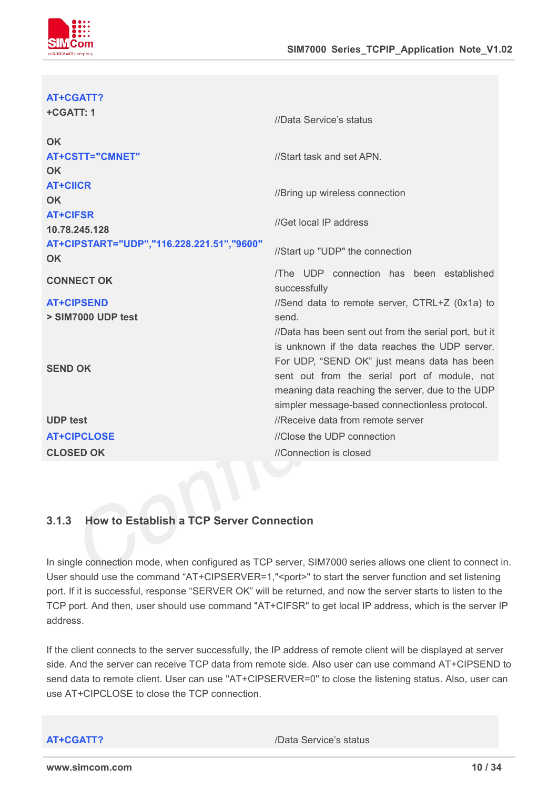

#### **AT+CGATT?**

| +CGATT: 1                                              | //Data Service's status                                                                                                                                                                                                                                                                                      |
|--------------------------------------------------------|--------------------------------------------------------------------------------------------------------------------------------------------------------------------------------------------------------------------------------------------------------------------------------------------------------------|
| <b>OK</b><br><b>AT+CSTT="CMNET"</b><br><b>OK</b>       | //Start task and set APN.                                                                                                                                                                                                                                                                                    |
| <b>AT+CIICR</b><br><b>OK</b>                           | //Bring up wireless connection                                                                                                                                                                                                                                                                               |
| <b>AT+CIFSR</b><br>10.78.245.128                       | //Get local IP address                                                                                                                                                                                                                                                                                       |
| AT+CIPSTART="UDP","116.228.221.51","9600"<br><b>OK</b> | //Start up "UDP" the connection                                                                                                                                                                                                                                                                              |
| <b>CONNECT OK</b>                                      | The UDP connection has been established<br>successfully                                                                                                                                                                                                                                                      |
| <b>AT+CIPSEND</b>                                      | //Send data to remote server, CTRL+Z (0x1a) to                                                                                                                                                                                                                                                               |
| > SIM7000 UDP test                                     | send.                                                                                                                                                                                                                                                                                                        |
| <b>SEND OK</b>                                         | //Data has been sent out from the serial port, but it<br>is unknown if the data reaches the UDP server.<br>For UDP, "SEND OK" just means data has been<br>sent out from the serial port of module, not<br>meaning data reaching the server, due to the UDP<br>simpler message-based connectionless protocol. |
| <b>UDP test</b>                                        | //Receive data from remote server                                                                                                                                                                                                                                                                            |
| <b>AT+CIPCLOSE</b>                                     | //Close the UDP connection                                                                                                                                                                                                                                                                                   |
| <b>CLOSED OK</b>                                       | //Connection is closed                                                                                                                                                                                                                                                                                       |
|                                                        |                                                                                                                                                                                                                                                                                                              |

#### <span id="page-9-0"></span>**3.1.3 How to Establish a TCP Server Connection**

In single connection mode, when configured as TCP server, SIM7000 series allows one client to connect in. User should use the command "AT+CIPSERVER=1,"<port>" to start the server function and set listening port. If it is successful, response "SERVER OK" will be returned, and now the server starts to listen to the TCP port. And then, user should use command "AT+CIFSR" to get local IP address, which is the server IP address.

If the client connects to the server successfully, the IP address of remote client will be displayed at server side. And the server can receive TCP data from remote side. Also user can use command AT+CIPSEND to send data to remote client. User can use "AT+CIPSERVER=0" to close the listening status. Also, user can use AT+CIPCLOSE to close the TCP connection.

**AT+CGATT?** /Data Service's status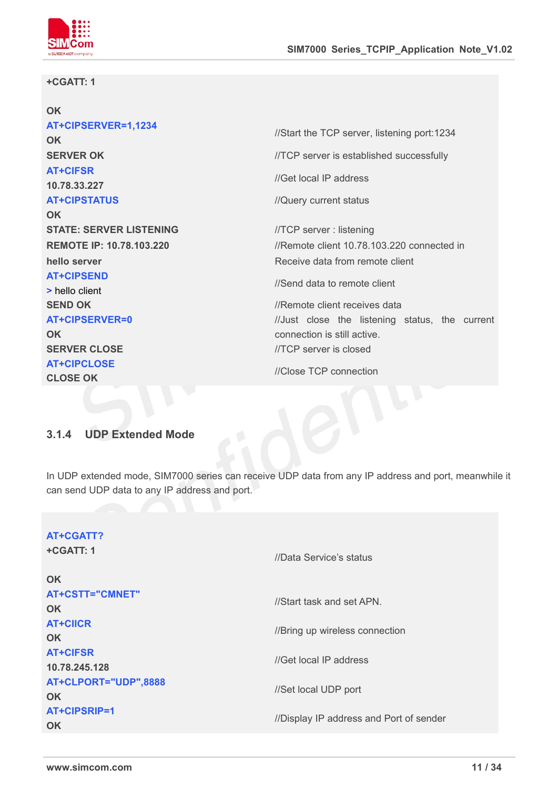

#### **+CGATT: 1**

| OK                             |                                                |
|--------------------------------|------------------------------------------------|
| AT+CIPSERVER=1,1234            | //Start the TCP server, listening port:1234    |
| <b>OK</b>                      |                                                |
| <b>SERVER OK</b>               | //TCP server is established successfully       |
| <b>AT+CIFSR</b>                | //Get local IP address                         |
| 10.78.33.227                   |                                                |
| <b>AT+CIPSTATUS</b>            | //Query current status                         |
| <b>OK</b>                      |                                                |
| <b>STATE: SERVER LISTENING</b> | //TCP server: listening                        |
| REMOTE IP: 10.78.103.220       | //Remote client 10.78.103.220 connected in     |
| hello server                   | Receive data from remote client                |
| <b>AT+CIPSEND</b>              | //Send data to remote client                   |
| > hello client                 |                                                |
| <b>SEND OK</b>                 | //Remote client receives data                  |
| <b>AT+CIPSERVER=0</b>          | //Just close the listening status, the current |
| <b>OK</b>                      | connection is still active.                    |
| <b>SERVER CLOSE</b>            | //TCP server is closed                         |
| <b>AT+CIPCLOSE</b>             | //Close TCP connection                         |
| <b>CLOSE OK</b>                |                                                |
|                                |                                                |
|                                |                                                |

### <span id="page-10-0"></span>**3.1.4 UDP Extended Mode**

In UDP extended mode, SIM7000 series can receive UDP data from any IP address and port, meanwhile it can send UDP data to any IP address and port.

| AT+CGATT?<br>+CGATT: 1<br><b>OK</b> | //Data Service's status                 |
|-------------------------------------|-----------------------------------------|
| <b>AT+CSTT="CMNET"</b><br><b>OK</b> | //Start task and set APN.               |
| <b>AT+CIICR</b><br><b>OK</b>        | //Bring up wireless connection          |
| <b>AT+CIFSR</b><br>10.78.245.128    | //Get local IP address                  |
| AT+CLPORT="UDP",8888<br><b>OK</b>   | //Set local UDP port                    |
| AT+CIPSRIP=1<br><b>OK</b>           | //Display IP address and Port of sender |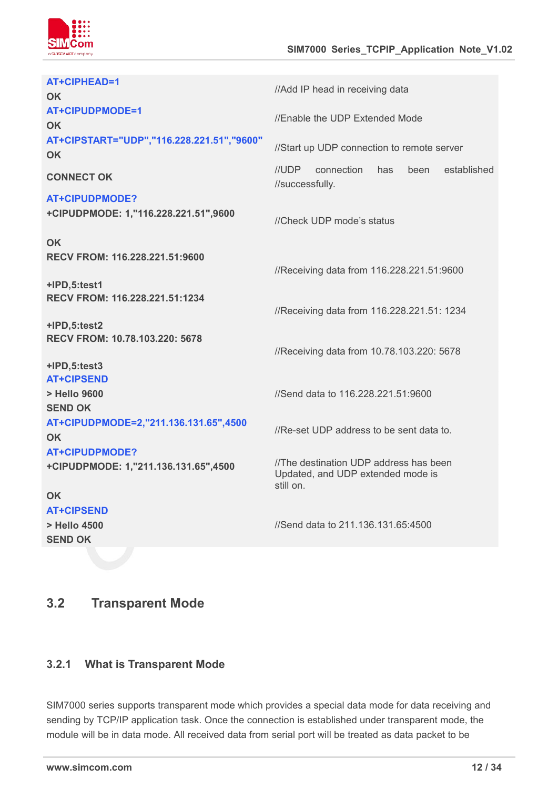

| AT+CIPHEAD=1<br><b>OK</b>                                           | //Add IP head in receiving data                                                          |
|---------------------------------------------------------------------|------------------------------------------------------------------------------------------|
| <b>AT+CIPUDPMODE=1</b><br><b>OK</b>                                 | //Enable the UDP Extended Mode                                                           |
| AT+CIPSTART="UDP","116.228.221.51","9600"<br><b>OK</b>              | //Start up UDP connection to remote server                                               |
| <b>CONNECT OK</b>                                                   | //UDP<br>connection<br>established<br>has<br>been<br>//successfully.                     |
| <b>AT+CIPUDPMODE?</b><br>+CIPUDPMODE: 1,"116.228.221.51",9600       | //Check UDP mode's status                                                                |
| <b>OK</b><br>RECV FROM: 116.228.221.51:9600                         | //Receiving data from 116.228.221.51:9600                                                |
| +IPD,5:test1<br>RECV FROM: 116.228.221.51:1234                      | //Receiving data from 116.228.221.51: 1234                                               |
| +IPD,5:test2<br>RECV FROM: 10.78.103.220: 5678                      | //Receiving data from 10.78.103.220: 5678                                                |
| +IPD,5:test3<br><b>AT+CIPSEND</b><br>> Hello 9600<br><b>SEND OK</b> | //Send data to 116.228.221.51:9600                                                       |
| AT+CIPUDPMODE=2,"211.136.131.65",4500<br><b>OK</b>                  | //Re-set UDP address to be sent data to.                                                 |
| <b>AT+CIPUDPMODE?</b><br>+CIPUDPMODE: 1,"211.136.131.65",4500       | //The destination UDP address has been<br>Updated, and UDP extended mode is<br>still on. |
| OK<br><b>AT+CIPSEND</b><br>> Hello 4500                             | //Send data to 211.136.131.65:4500                                                       |
| <b>SEND OK</b>                                                      |                                                                                          |

### <span id="page-11-0"></span>**3.2 Transparent Mode**

### <span id="page-11-1"></span>**3.2.1 What is Transparent Mode**

SIM7000 series supports transparent mode which provides a special data mode for data receiving and sending by TCP/IP application task. Once the connection is established under transparent mode, the module will be in data mode. All received data from serial port will be treated as data packet to be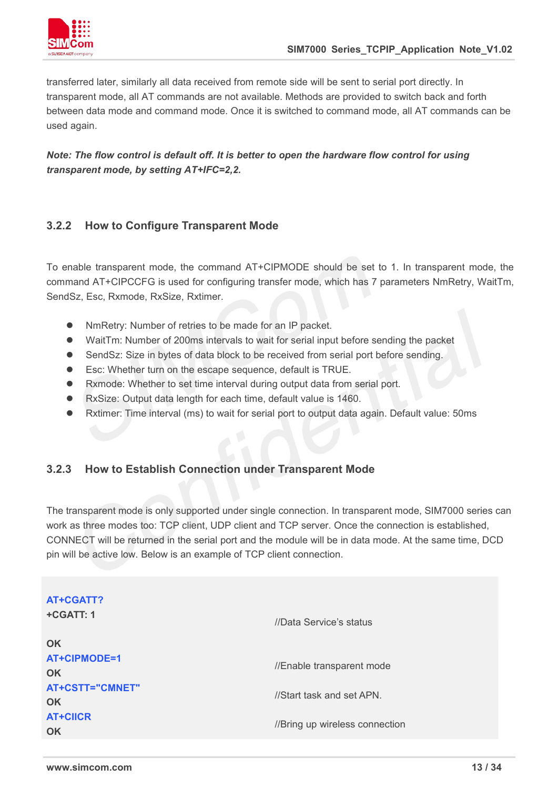

transferred later, similarly all data received from remote side will be sent to serial port directly. In transparent mode, all AT commands are not available. Methods are provided to switch back and forth between data mode and command mode. Once it is switched to command mode, all AT commands can be used again.

#### *Note: The flow control is default off. It is better to open the hardware flow control for using transparent mode, by setting AT+IFC=2,2.*

### <span id="page-12-0"></span>**3.2.2 How to Configure Transparent Mode**

To enable transparent mode, the command AT+CIPMODE should be set to 1. In transparent mode, the command AT+CIPCCFG is used for configuring transfer mode, which has 7 parameters NmRetry, WaitTm, SendSz, Esc, Rxmode, RxSize, Rxtimer.

- NmRetry: Number of retries to be made for an IP packet.
- WaitTm: Number of 200ms intervals to wait for serial input before sending the packet
- SendSz: Size in bytes of data block to be received from serial port before sending.
- Esc: Whether turn on the escape sequence, default is TRUE.
- Rxmode: Whether to set time interval during output data from serial port.
- RxSize: Output data length for each time, default value is 1460.
- Rxtimer: Time interval (ms) to wait for serial port to output data again. Default value: 50ms

### <span id="page-12-1"></span>**3.2.3 How to Establish Connection under Transparent Mode**

The transparent mode is only supported under single connection. In transparent mode, SIM7000 series can work as three modes too: TCP client, UDP client and TCP server. Once the connection is established, CONNECT will be returned in the serial port and the module will be in data mode. At the same time, DCD pin will be active low. Below is an example of TCP client connection.

| AT+CGATT?<br>+CGATT: 1       | //Data Service's status        |
|------------------------------|--------------------------------|
| <b>OK</b>                    |                                |
| AT+CIPMODE=1<br><b>OK</b>    | //Enable transparent mode      |
| AT+CSTT="CMNET"<br><b>OK</b> | //Start task and set APN.      |
| <b>AT+CIICR</b><br><b>OK</b> | //Bring up wireless connection |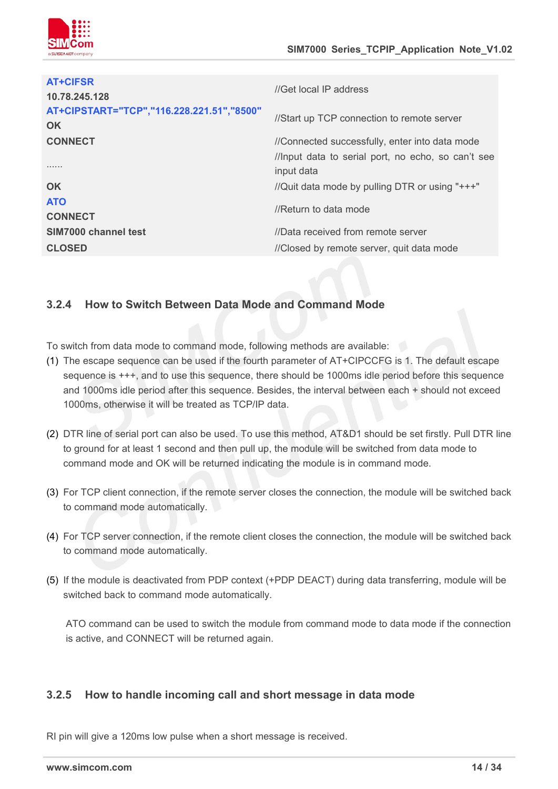

| <b>AT+CIFSR</b><br>10.78.245.128                       | //Get local IP address                             |  |
|--------------------------------------------------------|----------------------------------------------------|--|
| AT+CIPSTART="TCP","116.228.221.51","8500"<br><b>OK</b> | //Start up TCP connection to remote server         |  |
| <b>CONNECT</b>                                         | //Connected successfully, enter into data mode     |  |
|                                                        | //Input data to serial port, no echo, so can't see |  |
| .                                                      | input data                                         |  |
| <b>OK</b>                                              | //Quit data mode by pulling DTR or using "+++"     |  |
| <b>ATO</b><br><b>CONNECT</b>                           | //Return to data mode                              |  |
| SIM7000 channel test                                   | //Data received from remote server                 |  |
| <b>CLOSED</b>                                          | //Closed by remote server, quit data mode          |  |
|                                                        |                                                    |  |

### <span id="page-13-0"></span>**3.2.4 How to Switch Between Data Mode and Command Mode**

To switch from data mode to command mode, following methods are available:

- (1) The escape sequence can be used if the fourth parameter of AT+CIPCCFG is 1. The default escape sequence is+++, and to use this sequence, there should be 1000ms idle period before this sequence and 1000ms idle period after this sequence. Besides, the interval between each + should not exceed 1000ms, otherwise it will be treated as TCP/IP data.
- (2) DTR line of serial port can also be used. To use this method, AT&D1 should be set firstly. Pull DTR line to ground for at least 1 second and then pull up, the module will be switched from data mode to command mode and OK will be returned indicating the module is in command mode.
- (3) For TCP client connection, if the remote server closes the connection, the module will be switched back to command mode automatically.
- (4) For TCP server connection, if the remote client closes the connection, the module will be switched back to command mode automatically.
- (5) Ifthe module is deactivated from PDP context (+PDP DEACT) during data transferring, module will be switched back to command mode automatically.

ATO command can be used to switch the module from command mode to data mode if the connection is active, and CONNECT will be returned again.

### <span id="page-13-1"></span>**3.2.5 How to handle incoming call and short message in data mode**

RI pin will give a 120ms low pulse when a short message is received.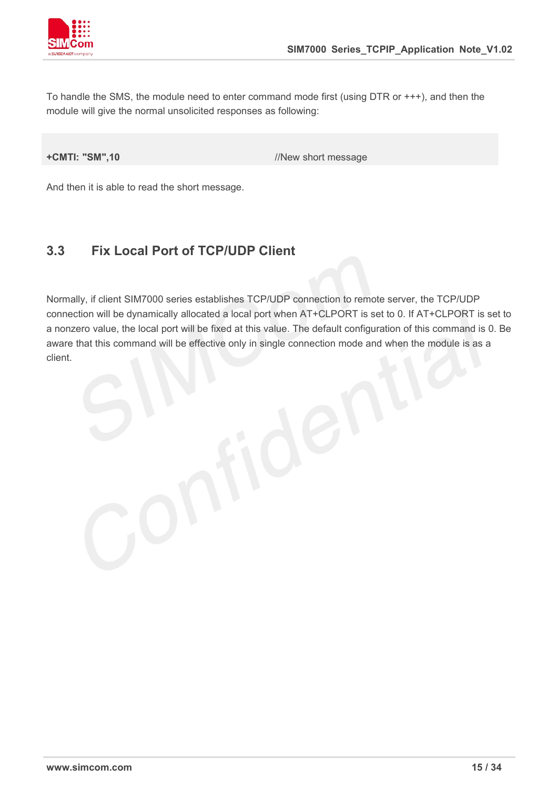

To handle the SMS, the module need to enter command mode first (using DTR or +++), and then the module will give the normal unsolicited responses as following:

**+CMTI:** "SM",10 //New short message

And then it is able to read the short message.

### <span id="page-14-0"></span>**3.3 Fix Local Port of TCP/UDP Client**

Normally, if client SIM7000 series establishes TCP/UDP connection to remote server, the TCP/UDP connection will be dynamically allocated a local port when AT+CLPORT is set to 0. If AT+CLPORT is set to a nonzero value, the local port will be fixed at this value. The default configuration of this command is 0. Be aware that this command will be effective only in single connection mode and when the module is as a client.

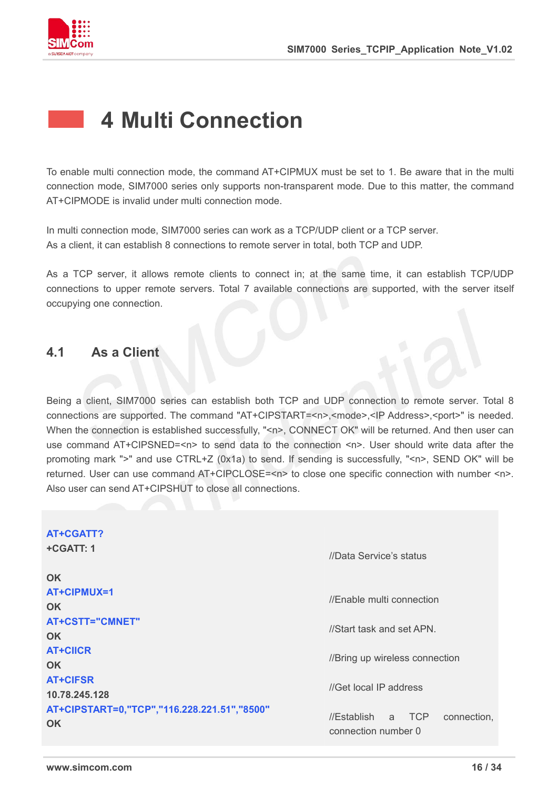

### <span id="page-15-0"></span>**4 Multi Connection**

To enable multi connection mode, the command AT+CIPMUX must be set to 1. Be aware that in the multi connection mode, SIM7000 series only supports non-transparent mode. Due to this matter, the command AT+CIPMODE is invalid under multi connection mode.

In multi connection mode, SIM7000 series can work as a TCP/UDP client or a TCP server. As a client, it can establish 8 connections to remote server in total, both TCP and UDP.

As a TCP server, it allows remote clients to connect in; at the same time, it can establish TCP/UDP connections to upper remote servers. Total 7 available connections are supported, with the server itself occupying one connection.

### <span id="page-15-1"></span>**4.1 As a Client**

Being a client, SIM7000 series can establish both TCP and UDP connection to remote server. Total 8 connections are supported. The command "AT+CIPSTART=<n>,<mode>,<IP Address>,<port>" is needed. When the connection is established successfully, "<n>, CONNECT OK" will be returned. And then user can use command AT+CIPSNED=<n> to send data to the connection <n>. User should write data after the promoting mark ">" and use CTRL+Z (0x1a) to send. If sending is successfully, "<n>, SEND OK" will be returned. User can use command AT+CIPCLOSE=<n> to close one specific connection with number <n>. Also user can send AT+CIPSHUT to close all connections.

| AT+CGATT?<br>+CGATT: 1<br><b>OK</b>                      | //Data Service's status                                 |
|----------------------------------------------------------|---------------------------------------------------------|
| AT+CIPMUX=1<br><b>OK</b>                                 | //Enable multi connection                               |
| <b>AT+CSTT="CMNET"</b><br><b>OK</b>                      | //Start task and set APN.                               |
| <b>AT+CIICR</b><br><b>OK</b>                             | //Bring up wireless connection                          |
| <b>AT+CIFSR</b><br>10.78.245.128                         | //Get local IP address                                  |
| AT+CIPSTART=0,"TCP","116.228.221.51","8500"<br><b>OK</b> | //Establish a TCP<br>connection,<br>connection number 0 |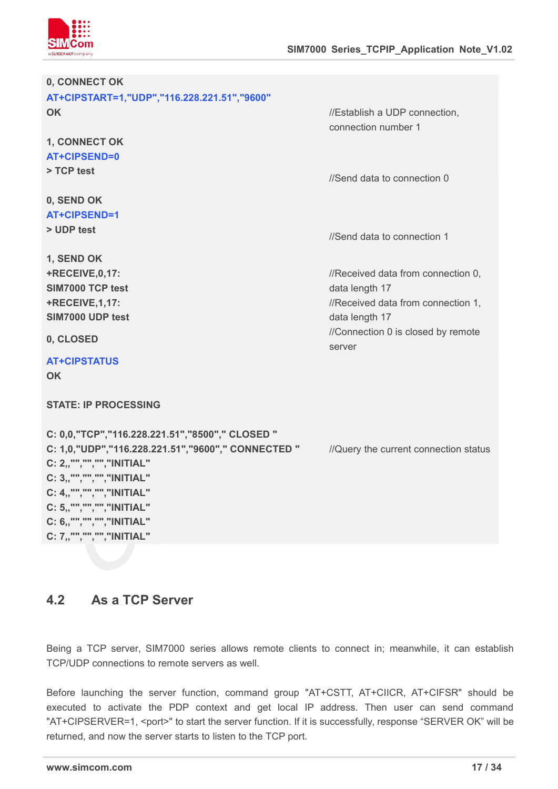

| 0, CONNECT OK                                                                                                                                                                                                                                                                             |                                                                                                              |
|-------------------------------------------------------------------------------------------------------------------------------------------------------------------------------------------------------------------------------------------------------------------------------------------|--------------------------------------------------------------------------------------------------------------|
| AT+CIPSTART=1,"UDP","116.228.221.51","9600"                                                                                                                                                                                                                                               |                                                                                                              |
| <b>OK</b>                                                                                                                                                                                                                                                                                 | //Establish a UDP connection,<br>connection number 1                                                         |
| 1, CONNECT OK<br>AT+CIPSEND=0<br>> TCP test                                                                                                                                                                                                                                               | //Send data to connection 0                                                                                  |
| 0, SEND OK<br>AT+CIPSEND=1<br>> UDP test                                                                                                                                                                                                                                                  | //Send data to connection 1                                                                                  |
| 1, SEND OK<br>+RECEIVE, 0, 17:<br>SIM7000 TCP test<br><b>+RECEIVE, 1, 17:</b><br>SIM7000 UDP test                                                                                                                                                                                         | //Received data from connection 0,<br>data length 17<br>//Received data from connection 1,<br>data length 17 |
| 0, CLOSED                                                                                                                                                                                                                                                                                 | //Connection 0 is closed by remote<br>server                                                                 |
| <b>AT+CIPSTATUS</b><br><b>OK</b>                                                                                                                                                                                                                                                          |                                                                                                              |
| <b>STATE: IP PROCESSING</b>                                                                                                                                                                                                                                                               |                                                                                                              |
| C: 0,0, "TCP", "116.228.221.51", "8500", " CLOSED "<br>C: 1,0, "UDP", "116.228.221.51", "9600", " CONNECTED "<br>C: 2,,"","","","INITIAL"<br>C: 3,, "", "", "", "INITIAL"<br>C: 4,,"","",""," NITIAL"<br>C: 5,,"","","","INITIAL"<br>C: 6,,"","","","INITIAL"<br>C: 7,,"","",""," NITIAL" | //Query the current connection status                                                                        |

### <span id="page-16-0"></span>**4.2 As a TCP Server**

Being a TCP server, SIM7000 series allows remote clients to connect in; meanwhile, it can establish TCP/UDP connections to remote servers as well.

Before launching the server function, command group "AT+CSTT, AT+CIICR, AT+CIFSR" should be executed to activate the PDP context and get local IP address. Then user can send command "AT+CIPSERVER=1, <port>" to start the server function. If it is successfully, response "SERVER OK" will be returned, and now the server starts to listen to the TCP port.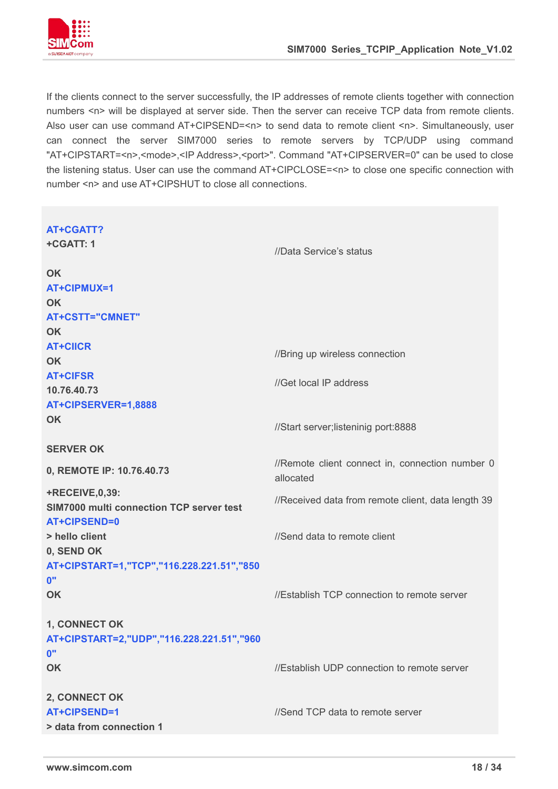

If the clients connect to the server successfully, the IP addresses of remote clients together with connection numbers <n> will be displayed at server side. Then the server can receive TCP data from remote clients. Also user can use command AT+CIPSEND=<n> to send data to remote client <n>. Simultaneously, user can connect the server SIM7000 series to remote servers by TCP/UDP using command "AT+CIPSTART=<n>,<mode>,<IP Address>,<port>". Command "AT+CIPSERVER=0" can be used to close the listening status. User can use the command AT+CIPCLOSE=<n> to close one specific connection with number <n> and use AT+CIPSHUT to close all connections.

| <b>AT+CGATT?</b>                          |                                                    |
|-------------------------------------------|----------------------------------------------------|
| +CGATT: 1                                 | //Data Service's status                            |
|                                           |                                                    |
| OK                                        |                                                    |
| AT+CIPMUX=1                               |                                                    |
| OK                                        |                                                    |
| <b>AT+CSTT="CMNET"</b>                    |                                                    |
| <b>OK</b>                                 |                                                    |
| <b>AT+CIICR</b>                           | //Bring up wireless connection                     |
| <b>OK</b>                                 |                                                    |
| <b>AT+CIFSR</b>                           | //Get local IP address                             |
| 10.76.40.73                               |                                                    |
| AT+CIPSERVER=1,8888                       |                                                    |
| <b>OK</b>                                 | //Start server;listeninig port:8888                |
|                                           |                                                    |
| <b>SERVER OK</b>                          |                                                    |
| 0, REMOTE IP: 10.76.40.73                 | //Remote client connect in, connection number 0    |
|                                           | allocated                                          |
| <b>+RECEIVE,0,39:</b>                     | //Received data from remote client, data length 39 |
| SIM7000 multi connection TCP server test  |                                                    |
| AT+CIPSEND=0<br>> hello client            | //Send data to remote client                       |
| 0, SEND OK                                |                                                    |
| AT+CIPSTART=1,"TCP","116.228.221.51","850 |                                                    |
| 0"                                        |                                                    |
| OK                                        | //Establish TCP connection to remote server        |
|                                           |                                                    |
| 1, CONNECT OK                             |                                                    |
| AT+CIPSTART=2,"UDP","116.228.221.51","960 |                                                    |
| 0"                                        |                                                    |
| OK                                        | //Establish UDP connection to remote server        |
|                                           |                                                    |
| 2, CONNECT OK                             |                                                    |
| AT+CIPSEND=1                              | //Send TCP data to remote server                   |
| > data from connection 1                  |                                                    |
|                                           |                                                    |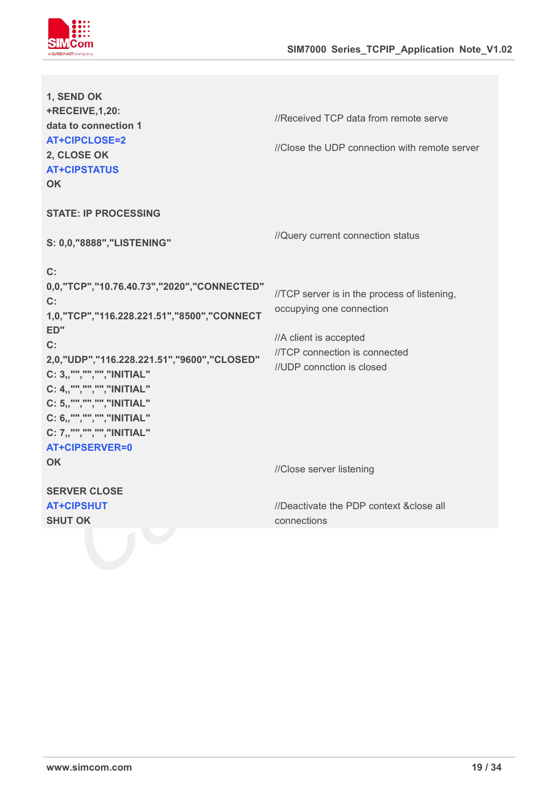

| 1, SEND OK<br><b>+RECEIVE, 1, 20:</b><br>data to connection 1<br><b>AT+CIPCLOSE=2</b><br>2, CLOSE OK<br><b>AT+CIPSTATUS</b><br>OK.                                                                                                                                                                                                       | //Received TCP data from remote serve<br>//Close the UDP connection with remote server                                                                           |  |
|------------------------------------------------------------------------------------------------------------------------------------------------------------------------------------------------------------------------------------------------------------------------------------------------------------------------------------------|------------------------------------------------------------------------------------------------------------------------------------------------------------------|--|
| <b>STATE: IP PROCESSING</b>                                                                                                                                                                                                                                                                                                              |                                                                                                                                                                  |  |
| S: 0,0,"8888","LISTENING"                                                                                                                                                                                                                                                                                                                | //Query current connection status                                                                                                                                |  |
| C:<br>0,0, "TCP", "10.76.40.73", "2020", "CONNECTED"<br>$C$ :<br>1,0,"TCP","116.228.221.51","8500","CONNECT<br>ED"<br>C:<br>2,0, "UDP", "116.228.221.51", "9600", "CLOSED"<br>C: 3,,"","",""," NITIAL"<br>C: 4,,"","",""," NITIAL"<br>C: 5,,"","","","INITIAL"<br>C: 6,,"","",""," NITIAL"<br>C: 7,,"","","","INITIAL"<br>AT+CIPSERVER=0 | //TCP server is in the process of listening,<br>occupying one connection<br>//A client is accepted<br>//TCP connection is connected<br>//UDP connction is closed |  |
| OK.                                                                                                                                                                                                                                                                                                                                      | //Close server listening                                                                                                                                         |  |
| <b>SERVER CLOSE</b><br><b>AT+CIPSHUT</b><br><b>SHUT OK</b>                                                                                                                                                                                                                                                                               | //Deactivate the PDP context & close all<br>connections                                                                                                          |  |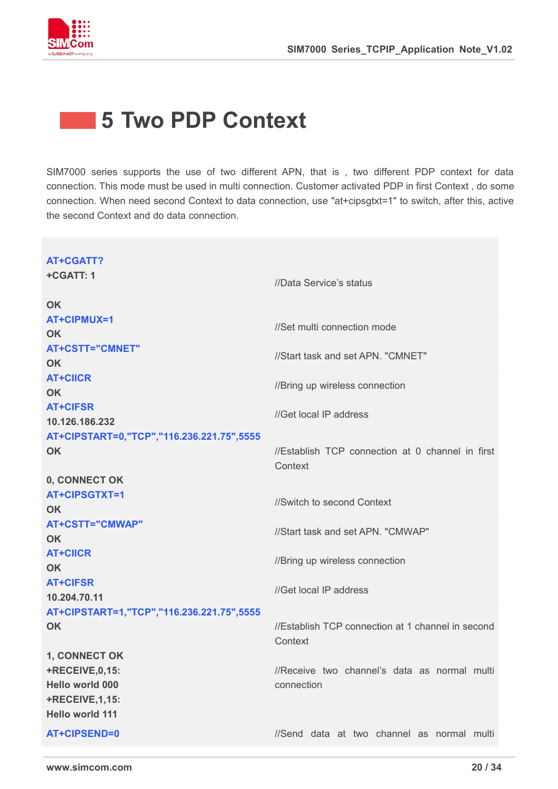

### <span id="page-19-0"></span>**5 Two PDP Context**

SIM7000 series supports the use of two different APN, that is , two different PDP context for data connection. This mode must be used in multi connection. Customer activated PDP in first Context , do some connection. When need second Context to data connection, use "at+cipsgtxt=1" to switch, after this, active the second Context and do data connection.

| AT+CGATT?<br>+CGATT: 1                                                                             | //Data Service's status                                      |  |
|----------------------------------------------------------------------------------------------------|--------------------------------------------------------------|--|
| <b>OK</b><br>AT+CIPMUX=1<br><b>OK</b>                                                              | //Set multi connection mode                                  |  |
| <b>AT+CSTT="CMNET"</b><br><b>OK</b>                                                                | //Start task and set APN. "CMNET"                            |  |
| <b>AT+CIICR</b><br><b>OK</b>                                                                       | //Bring up wireless connection                               |  |
| <b>AT+CIFSR</b><br>10.126.186.232                                                                  | //Get local IP address                                       |  |
| AT+CIPSTART=0,"TCP","116.236.221.75",5555<br><b>OK</b>                                             | //Establish TCP connection at 0 channel in first<br>Context  |  |
| 0, CONNECT OK<br>AT+CIPSGTXT=1<br><b>OK</b>                                                        | //Switch to second Context                                   |  |
| <b>AT+CSTT="CMWAP"</b><br>OK                                                                       | //Start task and set APN. "CMWAP"                            |  |
| <b>AT+CIICR</b><br><b>OK</b>                                                                       | //Bring up wireless connection                               |  |
| <b>AT+CIFSR</b><br>10.204.70.11                                                                    | //Get local IP address                                       |  |
| AT+CIPSTART=1,"TCP","116.236.221.75",5555<br><b>OK</b>                                             | //Establish TCP connection at 1 channel in second<br>Context |  |
| 1, CONNECT OK<br>+RECEIVE, 0, 15:<br>Hello world 000<br><b>+RECEIVE, 1, 15:</b><br>Hello world 111 | //Receive two channel's data as normal multi<br>connection   |  |
| AT+CIPSEND=0                                                                                       | //Send data at two channel as normal multi                   |  |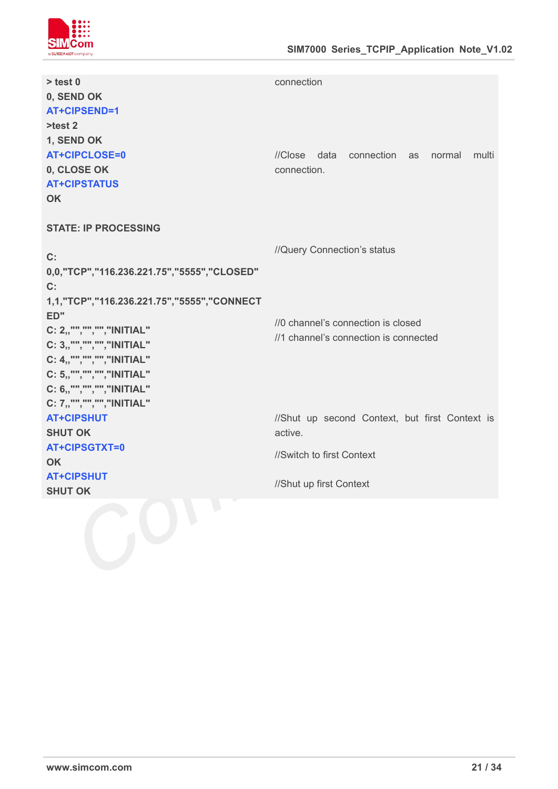

| $>$ test 0<br>0, SEND OK<br>AT+CIPSEND=1<br>$>=$ 2                                                                                                                                                         | connection                                                                                                        |
|------------------------------------------------------------------------------------------------------------------------------------------------------------------------------------------------------------|-------------------------------------------------------------------------------------------------------------------|
| 1, SEND OK<br><b>AT+CIPCLOSE=0</b><br>0, CLOSE OK<br><b>AT+CIPSTATUS</b><br><b>OK</b>                                                                                                                      | //Close data connection as normal<br>multi<br>connection.                                                         |
| <b>STATE: IP PROCESSING</b><br>$C$ :<br>0,0, "TCP", "116.236.221.75", "5555", "CLOSED"                                                                                                                     | //Query Connection's status                                                                                       |
| $C$ :<br>1,1, "TCP", "116.236.221.75", "5555", "CONNECT<br>ED"<br>C: 2,,"","","","INITIAL"<br>C: 3,,"","",""," NITIAL"<br>C: 4,,"","",""," NITIAL"<br>C: 5,,"","",""," NITIAL"<br>C: 6,,"","","","INITIAL" | //0 channel's connection is closed<br>//1 channel's connection is connected                                       |
| C: 7,,"","","","INITIAL"<br><b>AT+CIPSHUT</b><br><b>SHUT OK</b><br>AT+CIPSGTXT=0<br><b>OK</b><br><b>AT+CIPSHUT</b><br><b>SHUT OK</b>                                                                       | //Shut up second Context, but first Context is<br>active.<br>//Switch to first Context<br>//Shut up first Context |
|                                                                                                                                                                                                            |                                                                                                                   |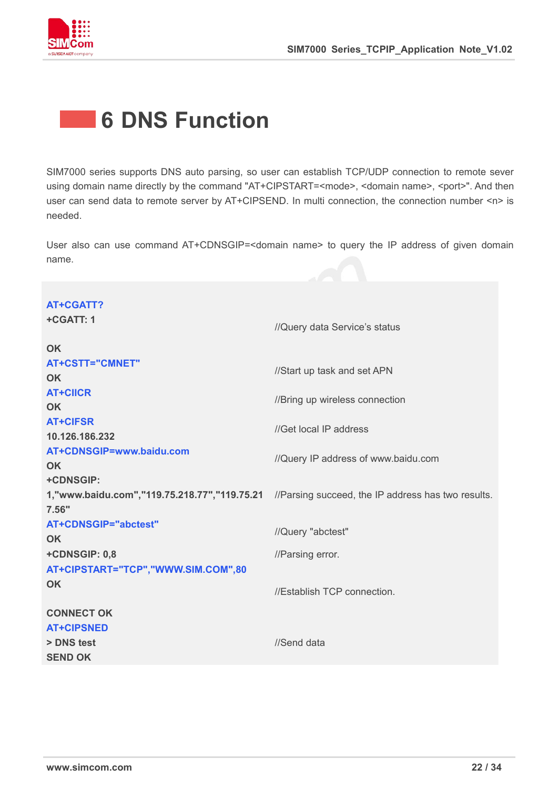

### <span id="page-21-0"></span>**6 DNS Function**

SIM7000 series supports DNS auto parsing, so user can establish TCP/UDP connection to remote sever using domain name directly by the command "AT+CIPSTART=<mode>, <domain name>, <port>". And then user can send data to remote server by AT+CIPSEND. In multi connection, the connection number <n> is needed.

User also can use command AT+CDNSGIP=<domain name> to query the IP address of given domain name.

| <b>AT+CGATT?</b>                   |                                                                                                    |
|------------------------------------|----------------------------------------------------------------------------------------------------|
| +CGATT: 1                          | //Query data Service's status                                                                      |
| <b>OK</b>                          |                                                                                                    |
| <b>AT+CSTT="CMNET"</b>             | //Start up task and set APN                                                                        |
| <b>OK</b>                          |                                                                                                    |
| <b>AT+CIICR</b>                    | //Bring up wireless connection                                                                     |
| <b>OK</b>                          |                                                                                                    |
| <b>AT+CIFSR</b>                    | //Get local IP address                                                                             |
| 10.126.186.232                     |                                                                                                    |
| AT+CDNSGIP=www.baidu.com           | //Query IP address of www.baidu.com                                                                |
| OK                                 |                                                                                                    |
| +CDNSGIP:                          |                                                                                                    |
|                                    | 1, "www.baidu.com", "119.75.218.77", "119.75.21 //Parsing succeed, the IP address has two results. |
| 7.56"                              |                                                                                                    |
| <b>AT+CDNSGIP="abctest"</b>        | //Query "abctest"                                                                                  |
| OK                                 |                                                                                                    |
| +CDNSGIP: 0,8                      | //Parsing error.                                                                                   |
| AT+CIPSTART="TCP","WWW.SIM.COM",80 |                                                                                                    |
| OK                                 | //Establish TCP connection.                                                                        |
| <b>CONNECT OK</b>                  |                                                                                                    |
| <b>AT+CIPSNED</b>                  |                                                                                                    |
| > DNS test                         | //Send data                                                                                        |
| <b>SEND OK</b>                     |                                                                                                    |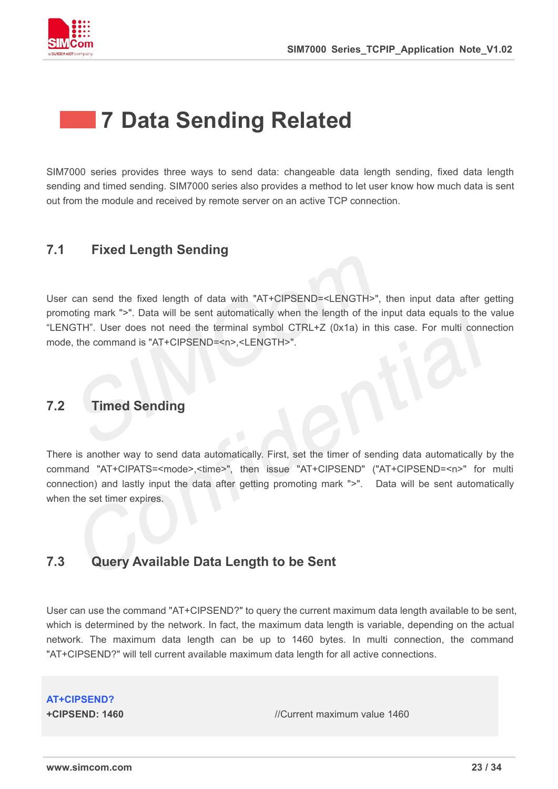

### <span id="page-22-0"></span>**7 Data Sending Related**

SIM7000 series provides three ways to send data: changeable data length sending, fixed data length sending and timed sending. SIM7000 series also provides a method to let user know how much data is sent out from the module and received by remote server on an active TCP connection.

### <span id="page-22-1"></span>**7.1 Fixed Length Sending**

User can send the fixed length of data with "AT+CIPSEND=<LENGTH>", then input data after getting promoting mark ">". Data will be sent automatically when the length of the input data equals to the value "LENGTH". User does not need the terminal symbol CTRL+Z (0x1a) in this case. For multi connection mode, the command is "AT+CIPSEND=<n>,<LENGTH>".

### <span id="page-22-2"></span>**7.2 Timed Sending**

There is another way to send data automatically. First, set the timer of sending data automatically by the command "AT+CIPATS=<mode>,<time>", then issue "AT+CIPSEND" ("AT+CIPSEND=<n>" for multi connection) and lastly input the data after getting promoting mark ">". Data will be sent automatically when the set timer expires.

### <span id="page-22-3"></span>**7.3 Query Available Data Length to be Sent**

User can use the command "AT+CIPSEND?" to query the current maximum data length available to be sent, which is determined by the network. In fact, the maximum data length is variable, depending on the actual network. The maximum data length can be up to 1460 bytes. In multi connection, the command "AT+CIPSEND?" will tell current available maximum data length for all active connections.

**AT+CIPSEND?**

**+CIPSEND: 1460** //Current maximum value 1460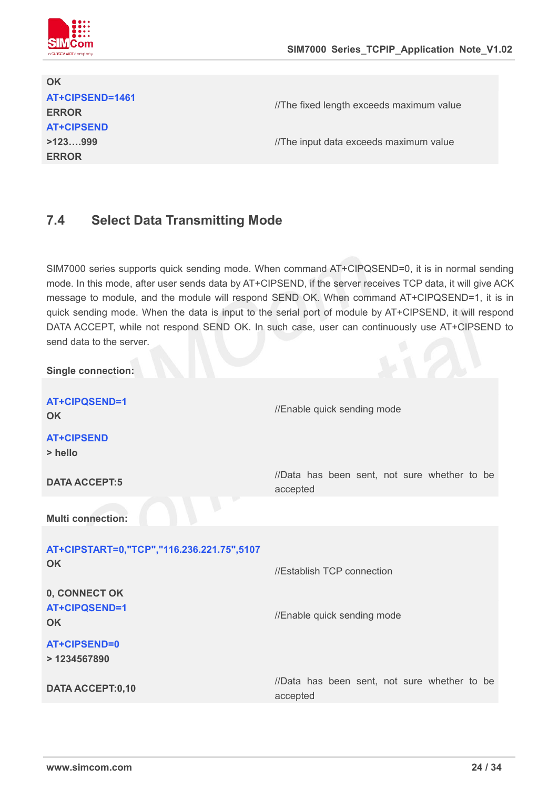

### **OK AT+CIPSEND=1461 ERROR AT+CIPSEND >123….999 ERROR**

//The fixed length exceeds maximum value

//The input data exceeds maximum value

### <span id="page-23-0"></span>**7.4 Select Data Transmitting Mode**

SIM7000 series supports quick sending mode. When command AT+CIPQSEND=0, it is in normal sending mode. In this mode, after user sends data by AT+CIPSEND, if the server receives TCP data, it will give ACK message to module, and the module will respond SEND OK. When command AT+CIPQSEND=1, it is in quick sending mode. When the data is input to the serial port of module by AT+CIPSEND, it will respond DATA ACCEPT, while not respond SEND OK. In such case, user can continuously use AT+CIPSEND to send data to the server.

| <b>Single connection:</b>                   |                                                          |
|---------------------------------------------|----------------------------------------------------------|
| <b>AT+CIPQSEND=1</b><br><b>OK</b>           | //Enable quick sending mode                              |
| <b>AT+CIPSEND</b><br>> hello                |                                                          |
| <b>DATA ACCEPT:5</b>                        | //Data has been sent, not sure whether to be<br>accepted |
| <b>Multi connection:</b>                    |                                                          |
| AT+CIPSTART=0,"TCP","116.236.221.75",5107   |                                                          |
| <b>OK</b>                                   | //Establish TCP connection                               |
| 0, CONNECT OK<br>AT+CIPQSEND=1<br><b>OK</b> | //Enable quick sending mode                              |
| AT+CIPSEND=0<br>> 1234567890                |                                                          |
| <b>DATA ACCEPT:0,10</b>                     | //Data has been sent, not sure whether to be<br>accepted |
|                                             |                                                          |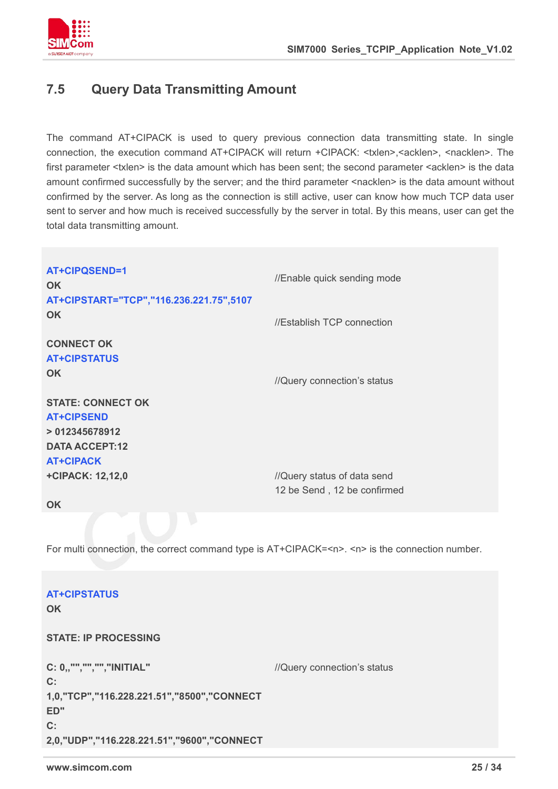

### <span id="page-24-0"></span>**7.5 Query Data Transmitting Amount**

The command AT+CIPACK is used to query previous connection data transmitting state. In single connection, the execution command AT+CIPACK will return +CIPACK: <txlen>, <acklen>, <nacklen>. The first parameter <txlen> is the data amount which has been sent; the second parameter <acklen> is the data amount confirmed successfully by the server; and the third parameter <nacklen> is the data amount without confirmed by the server. As long as the connection is still active, user can know how much TCP data user sent to server and how much is received successfully by the server in total. By this means, user can get the total data transmitting amount.

| <b>AT+CIPQSEND=1</b><br>OK.<br>AT+CIPSTART="TCP","116.236.221.75",5107                                      | //Enable quick sending mode |  |
|-------------------------------------------------------------------------------------------------------------|-----------------------------|--|
| <b>OK</b>                                                                                                   | //Establish TCP connection  |  |
| <b>CONNECT OK</b><br><b>AT+CIPSTATUS</b>                                                                    |                             |  |
| <b>OK</b>                                                                                                   | //Query connection's status |  |
| <b>STATE: CONNECT OK</b><br><b>AT+CIPSEND</b><br>>012345678912<br><b>DATA ACCEPT:12</b><br><b>AT+CIPACK</b> |                             |  |
| <b>+CIPACK: 12,12,0</b>                                                                                     | //Query status of data send |  |
| <b>OK</b>                                                                                                   | 12 be Send, 12 be confirmed |  |
|                                                                                                             |                             |  |
| For multi connection, the correct command type is AT+CIPACK= <n>. <n> is the connection number.</n></n>     |                             |  |
| <b>AT+CIPSTATUS</b><br><b>OK</b>                                                                            |                             |  |

**STATE: IP PROCESSING**

**C: 0,,"","","","INITIAL" C: 1,0,"TCP","116.228.221.51","8500","CONNECT ED" C: 2,0,"UDP","116.228.221.51","9600","CONNECT** //Query connection's status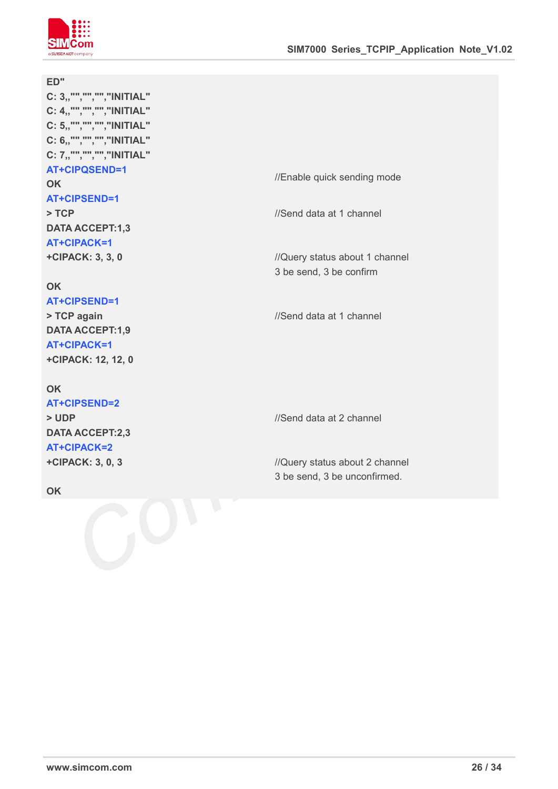

#### **ED"**

**C: 3,,"","","","INITIAL" C: 4,,"","","","INITIAL" C: 5,,"","","","INITIAL" C: 6,,"","","","INITIAL" C: 7,,"","","","INITIAL" AT+CIPQSEND=1 OK AT+CIPSEND=1 > TCP DATA ACCEPT:1,3**

#### **OK AT+CIPSEND=1**

**AT+CIPACK=1 +CIPACK: 3,3, 0**

**> TCP again DATA ACCEPT:1,9 AT+CIPACK=1 +CIPACK: 12, 12, 0**

### **OK**

**AT+CIPSEND=2 > UDP DATA ACCEPT:2,3 AT+CIPACK=2 +CIPACK: 3,0, 3**

**OK**

//Enable quick sending mode

//Send data at 1 channel

//Query status about 1 channel 3 be send, 3 be confirm

//Send data at 1 channel

//Send data at 2 channel

//Query status about 2 channel 3 be send, 3 be unconfirmed.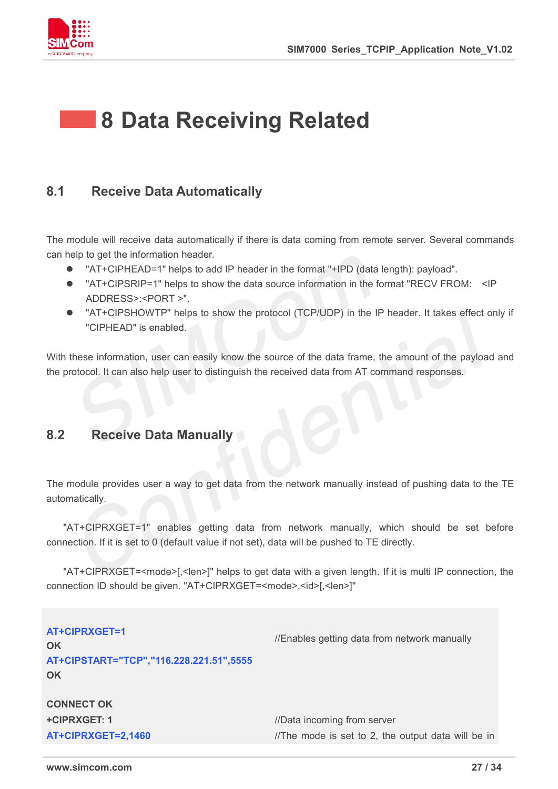

### <span id="page-26-0"></span>**8 Data Receiving Related**

### <span id="page-26-1"></span>**8.1 Receive Data Automatically**

The module will receive data automatically if there is data coming from remote server. Several commands can help to get the information header.

- "AT+CIPHEAD=1" helps to add IP header in the format "+IPD (data length): payload".
- "AT+CIPSRIP=1" helps to show the data source information in the format "RECV FROM: <IP ADDRESS>:<PORT >".
- "AT+CIPSHOWTP" helps to show the protocol (TCP/UDP) in the IP header. It takes effect only if "CIPHEAD" is enabled.

With these information, user can easily know the source of the data frame, the amount of the payload and the protocol. It can also help user to distinguish the received data from AT command responses.

### <span id="page-26-2"></span>**8.2 Receive Data Manually**

The module provides user a way to get data from the network manually instead of pushing data to the TE automatically.

"AT+CIPRXGET=1" enables getting data from network manually, which should be set before connection. If it is set to 0 (default value if not set), data will be pushed to TE directly.<br>"AT+CIPRXGET=<mode>[,<len>]" helps to get data with a given length. If it is multi IP connection, the

connection ID should be given. "AT+CIPRXGET=<mode>,<id>[,<len>]"

**AT+CIPRXGET=1 OK** //Enables getting data from network manually **AT+CIPSTART="TCP","116.228.221.51",5555 OK CONNECT OK +CIPRXGET: 1**  $\blacksquare$  //Data incoming from server **AT+CIPRXGET=2,1460** //The mode is set to 2, the output data will be in

**www.simcom.com 27 / 34**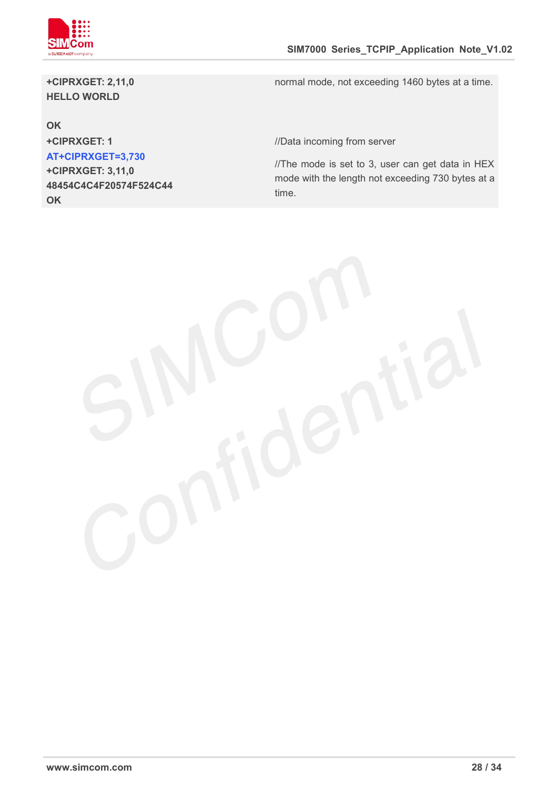

**+CIPRXGET: 2,11,0 HELLO WORLD**

normal mode, not exceeding 1460 bytes at a time.

#### **OK**

**AT+CIPRXGET=3,730 +CIPRXGET: 3,11,0 48454C4C4F20574F524C44 OK**

**+CIPRXGET: 1** //Data incoming from server

 $I/T$ he mode is set to 3, user can get data in HEX mode with the length not exceeding 730 bytes at a time.

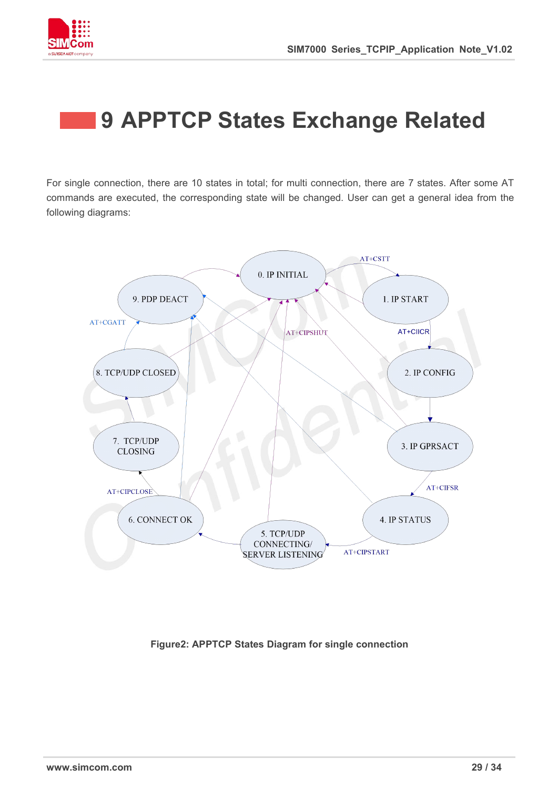



### <span id="page-28-0"></span>**9 APPTCP States Exchange Related**

For single connection, there are 10 states in total; for multi connection, there are 7 states. After some AT commands are executed, the corresponding state will be changed. User can get a general idea from the following diagrams:



**Figure2: APPTCP States Diagram for single connection**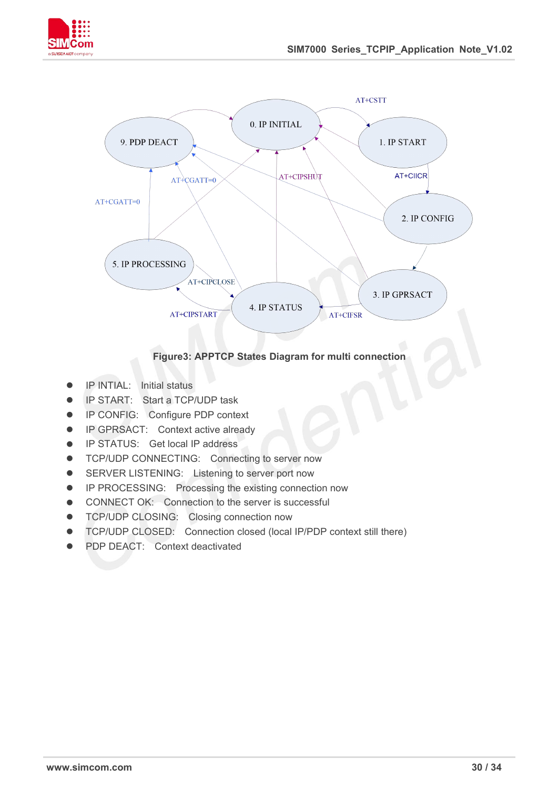



#### **Figure3: APPTCP States Diagram for multi connection**

- **•** IP INTIAL: Initial status
- **IP START:** Start a TCP/UDP task
- **•** IP CONFIG: Configure PDP context
- **•** IP GPRSACT: Context active already
- **IP STATUS:** Get local IP address
- **TCP/UDP CONNECTING:** Connecting to server now
- **•** SERVER LISTENING: Listening to server port now
- **•** IP PROCESSING: Processing the existing connection now
- **•** CONNECT OK: Connection to the server is successful
- **TCP/UDP CLOSING: Closing connection now**
- TCP/UDP CLOSED: Connection closed (local IP/PDP context still there)
- PDP DEACT: Context deactivated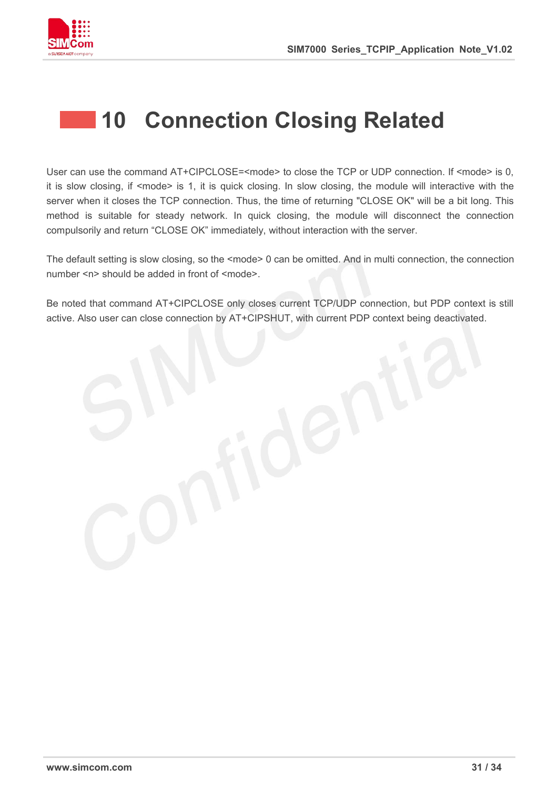

### <span id="page-30-0"></span>**10 Connection Closing Related**

User can use the command AT+CIPCLOSE=<mode> to close the TCP or UDP connection. If <mode> is 0, it is slow closing, if <mode> is 1, it is quick closing. In slow closing, the module will interactive with the server when it closes the TCP connection. Thus, the time of returning "CLOSE OK" will be a bit long. This method is suitable for steady network. In quick closing, the module will disconnect the connection compulsorily and return "CLOSE OK" immediately, without interaction with the server.

The default setting is slow closing, so the <mode> 0 can be omitted. And in multi connection, the connection number <n> should be added in front of <mode>.

Be noted that command AT+CIPCLOSE only closes current TCP/UDP connection, but PDP context is still active. Also user can close connection by AT+CIPSHUT, with current PDP context being deactivated.

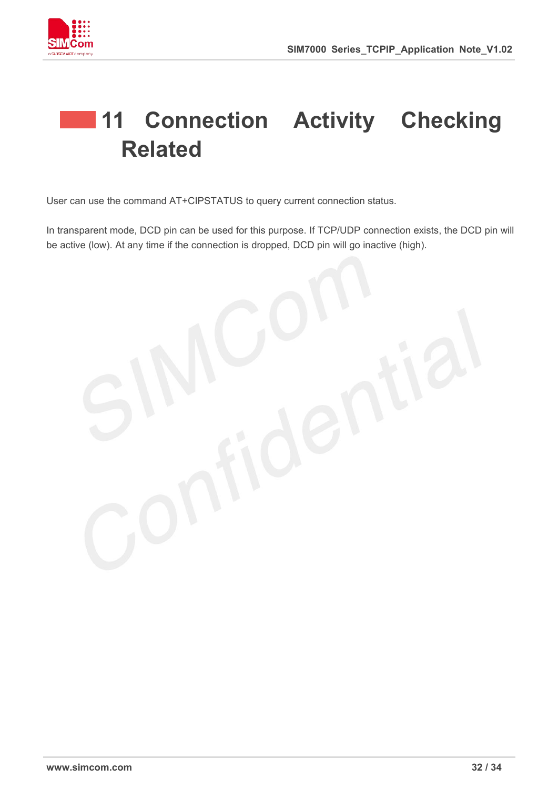



## <span id="page-31-0"></span>**11 Connection Activity Checking Related**

User can use the command AT+CIPSTATUS to query current connection status.

In transparent mode, DCD pin can be used for this purpose. If TCP/UDP connection exists, the DCD pin will be active (low). At any time if the connection is dropped, DCD pin will go inactive (high).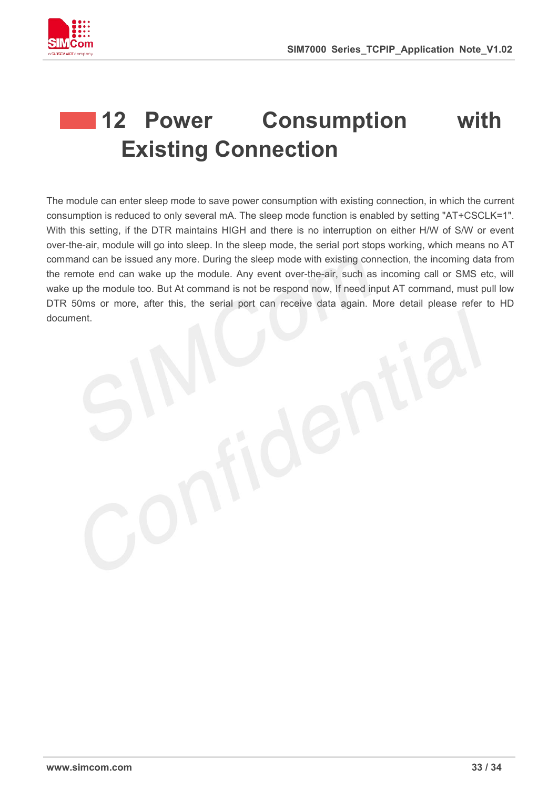

## <span id="page-32-0"></span>**12 Power Consumption with Existing Connection**

The module can enter sleep mode to save power consumption with existing connection, in which the current consumption is reduced to only several mA. The sleep mode function is enabled by setting "AT+CSCLK=1". With this setting, if the DTR maintains HIGH and there is no interruption on either H/W of S/W or event over-the-air, module will go into sleep. In the sleep mode, the serial port stops working, which means no AT command can be issued any more. During the sleep mode with existing connection, the incoming data from the remote end can wake up the module. Any event over-the-air, such as incoming call or SMS etc, will wake up the module too. But At command is not be respond now, If need input AT command, must pull low DTR 50ms or more, after this, the serial port can receive data again. More detail please refer to HD document.